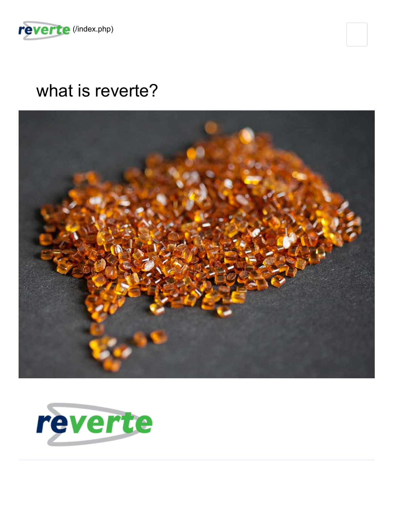

## what is reverte?